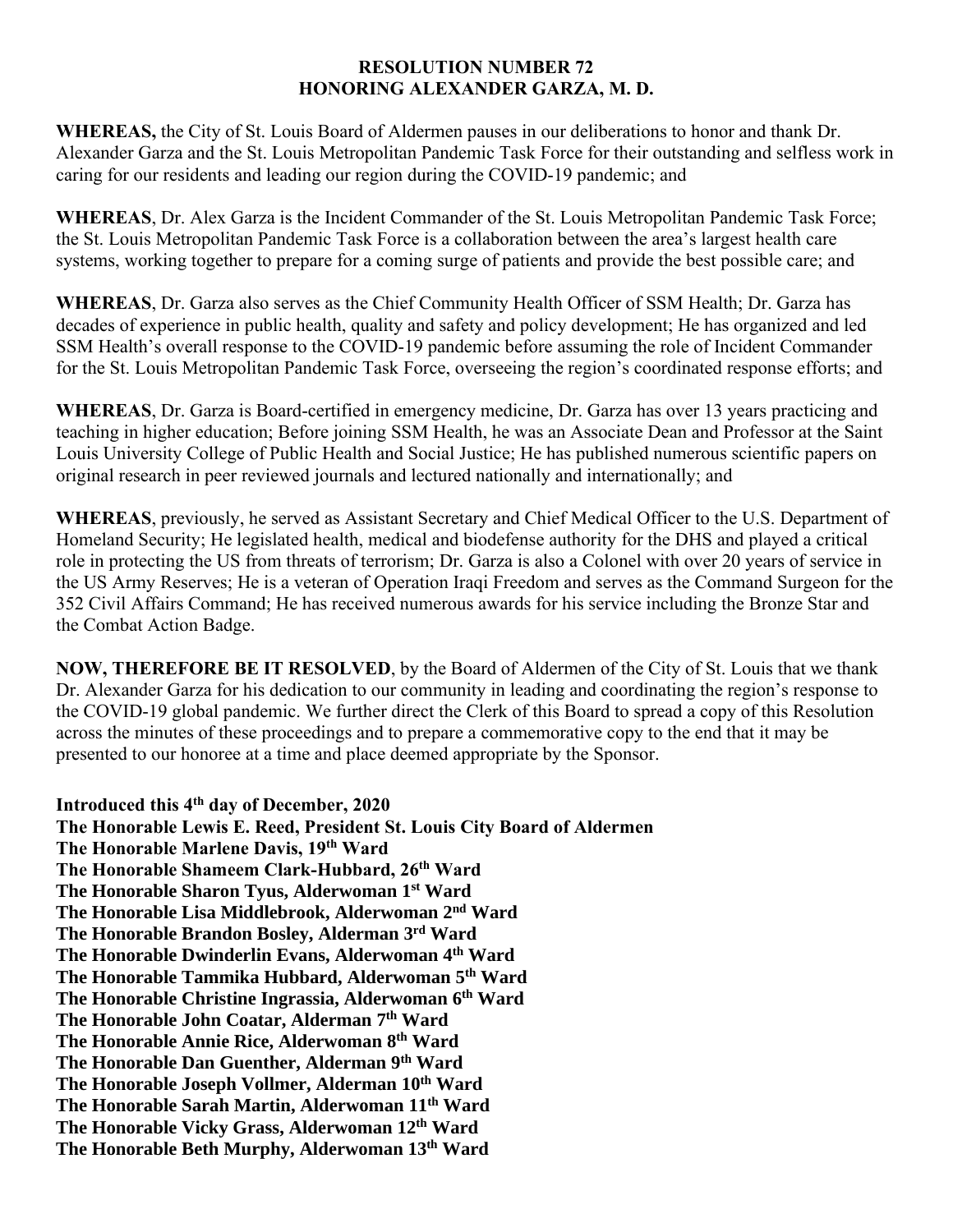## **RESOLUTION NUMBER 72 HONORING ALEXANDER GARZA, M. D.**

**WHEREAS,** the City of St. Louis Board of Aldermen pauses in our deliberations to honor and thank Dr. Alexander Garza and the St. Louis Metropolitan Pandemic Task Force for their outstanding and selfless work in caring for our residents and leading our region during the COVID-19 pandemic; and

**WHEREAS**, Dr. Alex Garza is the Incident Commander of the St. Louis Metropolitan Pandemic Task Force; the St. Louis Metropolitan Pandemic Task Force is a collaboration between the area's largest health care systems, working together to prepare for a coming surge of patients and provide the best possible care; and

**WHEREAS**, Dr. Garza also serves as the Chief Community Health Officer of SSM Health; Dr. Garza has decades of experience in public health, quality and safety and policy development; He has organized and led SSM Health's overall response to the COVID-19 pandemic before assuming the role of Incident Commander for the St. Louis Metropolitan Pandemic Task Force, overseeing the region's coordinated response efforts; and

**WHEREAS**, Dr. Garza is Board-certified in emergency medicine, Dr. Garza has over 13 years practicing and teaching in higher education; Before joining SSM Health, he was an Associate Dean and Professor at the Saint Louis University College of Public Health and Social Justice; He has published numerous scientific papers on original research in peer reviewed journals and lectured nationally and internationally; and

**WHEREAS**, previously, he served as Assistant Secretary and Chief Medical Officer to the U.S. Department of Homeland Security; He legislated health, medical and biodefense authority for the DHS and played a critical role in protecting the US from threats of terrorism; Dr. Garza is also a Colonel with over 20 years of service in the US Army Reserves; He is a veteran of Operation Iraqi Freedom and serves as the Command Surgeon for the 352 Civil Affairs Command; He has received numerous awards for his service including the Bronze Star and the Combat Action Badge.

**NOW, THEREFORE BE IT RESOLVED**, by the Board of Aldermen of the City of St. Louis that we thank Dr. Alexander Garza for his dedication to our community in leading and coordinating the region's response to the COVID-19 global pandemic. We further direct the Clerk of this Board to spread a copy of this Resolution across the minutes of these proceedings and to prepare a commemorative copy to the end that it may be presented to our honoree at a time and place deemed appropriate by the Sponsor.

**Introduced this 4 th day of December, 2020 The Honorable Lewis E. Reed, President St. Louis City Board of Aldermen The Honorable Marlene Davis, 19th Ward The Honorable Shameem Clark-Hubbard, 26th Ward The Honorable Sharon Tyus, Alderwoman 1 st Ward The Honorable Lisa Middlebrook, Alderwoman 2 nd Ward The Honorable Brandon Bosley, Alderman 3 rd Ward The Honorable Dwinderlin Evans, Alderwoman 4 th Ward The Honorable Tammika Hubbard, Alderwoman 5 th Ward The Honorable Christine Ingrassia, Alderwoman 6 th Ward The Honorable John Coatar, Alderman 7 th Ward The Honorable Annie Rice, Alderwoman 8 th Ward The Honorable Dan Guenther, Alderman 9 th Ward The Honorable Joseph Vollmer, Alderman 10th Ward The Honorable Sarah Martin, Alderwoman 11th Ward The Honorable Vicky Grass, Alderwoman 12th Ward The Honorable Beth Murphy, Alderwoman 13th Ward**